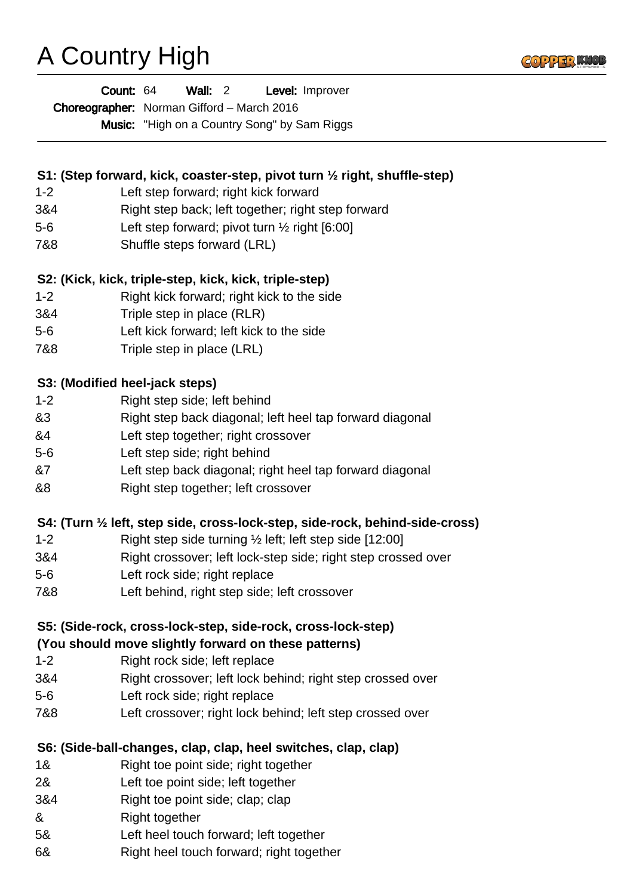# A Country High



| Count: 64 | Wall: $2$ | Level: Improver |
|-----------|-----------|-----------------|
|-----------|-----------|-----------------|

Choreographer: Norman Gifford - March 2016

Music: "High on a Country Song" by Sam Riggs

# **S1: (Step forward, kick, coaster-step, pivot turn ½ right, shuffle-step)**

- 1-2 Left step forward; right kick forward
- 3&4 Right step back; left together; right step forward
- 5-6 Left step forward; pivot turn ½ right [6:00]
- 7&8 Shuffle steps forward (LRL)

## **S2: (Kick, kick, triple-step, kick, kick, triple-step)**

- 1-2 Right kick forward; right kick to the side
- 3&4 Triple step in place (RLR)
- 5-6 Left kick forward; left kick to the side
- 7&8 Triple step in place (LRL)

#### **S3: (Modified heel-jack steps)**

- 1-2 Right step side; left behind
- &3 Right step back diagonal; left heel tap forward diagonal
- &4 Left step together; right crossover
- 5-6 Left step side; right behind
- &7 Left step back diagonal; right heel tap forward diagonal
- &8 Right step together; left crossover

#### **S4: (Turn ½ left, step side, cross-lock-step, side-rock, behind-side-cross)**

- 1-2 Right step side turning ½ left; left step side [12:00]
- 3&4 Right crossover; left lock-step side; right step crossed over
- 5-6 Left rock side; right replace
- 7&8 Left behind, right step side; left crossover

# **S5: (Side-rock, cross-lock-step, side-rock, cross-lock-step)**

#### **(You should move slightly forward on these patterns)**

- 1-2 Right rock side; left replace
- 3&4 Right crossover; left lock behind; right step crossed over
- 5-6 Left rock side; right replace
- 7&8 Left crossover; right lock behind; left step crossed over

#### **S6: (Side-ball-changes, clap, clap, heel switches, clap, clap)**

- 1& Right toe point side; right together
- 2& Left toe point side; left together
- 3&4 Right toe point side; clap; clap
- & Right together
- 5& Left heel touch forward; left together
- 6& Right heel touch forward; right together